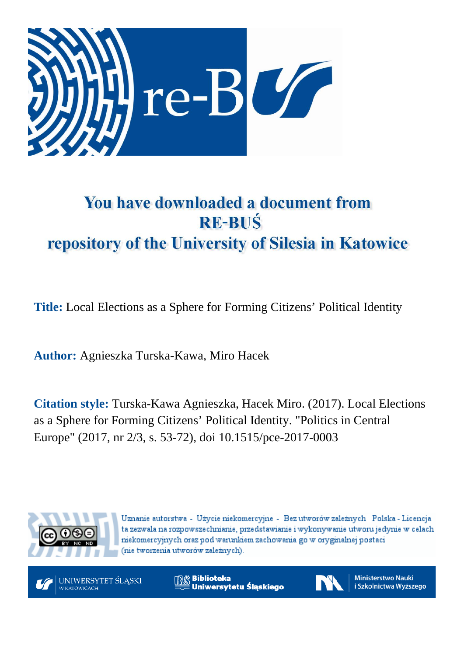

# You have downloaded a document from **RE-BUŚ** repository of the University of Silesia in Katowice

**Title:** Local Elections as a Sphere for Forming Citizens' Political Identity

**Author:** Agnieszka Turska-Kawa, Miro Hacek

**Citation style:** Turska-Kawa Agnieszka, Hacek Miro. (2017). Local Elections as a Sphere for Forming Citizens' Political Identity. "Politics in Central Europe" (2017, nr 2/3, s. 53-72), doi 10.1515/pce-2017-0003



Uznanie autorstwa - Użycie niekomercyjne - Bez utworów zależnych Polska - Licencja ta zezwala na rozpowszechnianie, przedstawianie i wykonywanie utworu jedynie w celach niekomercyjnych oraz pod warunkiem zachowania go w oryginalnej postaci (nie tworzenia utworów zależnych).



**Biblioteka** Uniwersytetu Śląskiego



**Ministerstwo Nauki** i Szkolnictwa Wyższego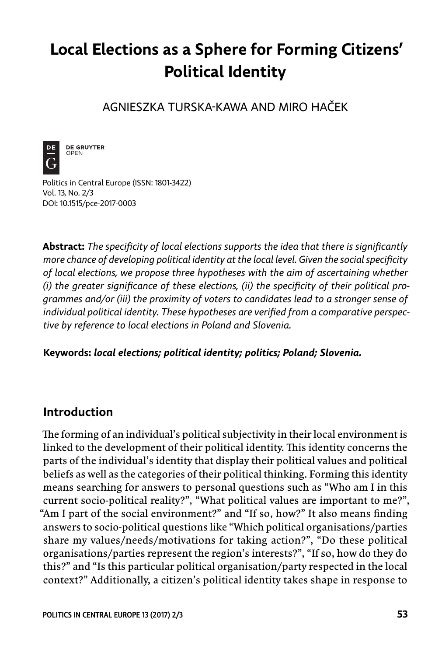# **Local Elections as a Sphere for Forming Citizens' Political Identity**

AGNIESZKA TURSKA -KAWA AND MIRO HAČEK



**DE GRUYTER** OPEN

Politics in Central Europe (ISSN: 1801-3422) Vol. 13, No. 2/3 DOI: 10.1515/pce-2017-0003

**Abstract:** The specificity of local elections supports the idea that there is significantly more chance of developing political identity at the local level. Given the social specificity *of local elections, we propose three hypotheses with the aim of ascertaining whether*  (i) the greater significance of these elections, (ii) the specificity of their political pro*grammes and/or (iii) the proximity of voters to candidates lead to a stronger sense of*  individual political identity. These hypotheses are verified from a comparative perspec*tive by reference to local elections in Poland and Slovenia.*

**Keywords:** *local elections; political identity; politics; Poland; Slovenia.*

# **Introduction**

The forming of an individual's political subjectivity in their local environment is linked to the development of their political identity. This identity concerns the parts of the individual's identity that display their political values and political beliefs as well as the categories of their political thinking. Forming this identity means searching for answers to personal questions such as "Who am I in this current socio -political reality?", "What political values are important to me?", "Am I part of the social environment?" and "If so, how?" It also means finding answers to socio -political questions like "Which political organisations/parties share my values/needs/motivations for taking action?", "Do these political organisations/parties represent the region's interests?", "If so, how do they do this?" and "Is this particular political organisation/party respected in the local context?" Additionally, a citizen's political identity takes shape in response to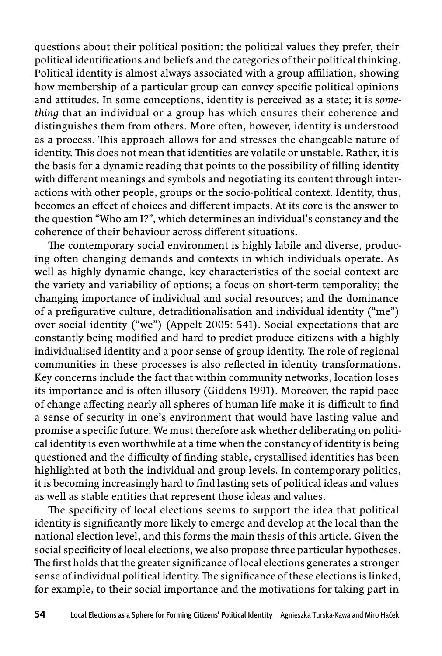questions about their political position: the political values they prefer, their political identifications and beliefs and the categories of their political thinking. Political identity is almost always associated with a group affiliation, showing how membership of a particular group can convey specific political opinions and attitudes. In some conceptions, identity is perceived as a state; it is *something* that an individual or a group has which ensures their coherence and distinguishes them from others. More often, however, identity is understood as a process. This approach allows for and stresses the changeable nature of identity. This does not mean that identities are volatile or unstable. Rather, it is the basis for a dynamic reading that points to the possibility of filling identity with different meanings and symbols and negotiating its content through interactions with other people, groups or the socio -political context. Identity, thus, becomes an effect of choices and different impacts. At its core is the answer to the question "Who am I?", which determines an individual's constancy and the coherence of their behaviour across different situations.

The contemporary social environment is highly labile and diverse, producing often changing demands and contexts in which individuals operate. As well as highly dynamic change, key characteristics of the social context are the variety and variability of options; a focus on short -term temporality; the changing importance of individual and social resources; and the dominance of a prefigurative culture, detraditionalisation and individual identity ("me") over social identity ("we") (Appelt 2005: 541). Social expectations that are constantly being modified and hard to predict produce citizens with a highly individualised identity and a poor sense of group identity. The role of regional communities in these processes is also reflected in identity transformations. Key concerns include the fact that within community networks, location loses its importance and is often illusory (Giddens 1991). Moreover, the rapid pace of change affecting nearly all spheres of human life make it is difficult to find a sense of security in one's environment that would have lasting value and promise a specific future. We must therefore ask whether deliberating on political identity is even worthwhile at a time when the constancy of identity is being questioned and the difficulty of finding stable, crystallised identities has been highlighted at both the individual and group levels. In contemporary politics, it is becoming increasingly hard to find lasting sets of political ideas and values as well as stable entities that represent those ideas and values.

The specificity of local elections seems to support the idea that political identity is significantly more likely to emerge and develop at the local than the national election level, and this forms the main thesis of this article. Given the social specificity of local elections, we also propose three particular hypotheses. The first holds that the greater significance of local elections generates a stronger sense of individual political identity. The significance of these elections is linked, for example, to their social importance and the motivations for taking part in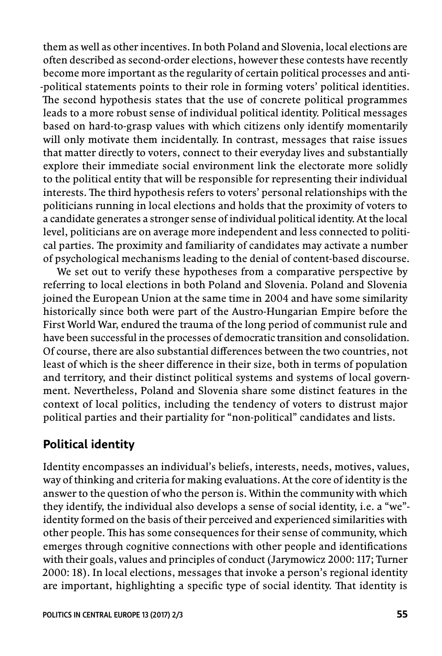them as well as other incentives. In both Poland and Slovenia, local elections are often described as second -order elections, however these contests have recently become more important as the regularity of certain political processes and anti- -political statements points to their role in forming voters' political identities. The second hypothesis states that the use of concrete political programmes leads to a more robust sense of individual political identity. Political messages based on hard -to -grasp values with which citizens only identify momentarily will only motivate them incidentally. In contrast, messages that raise issues that matter directly to voters, connect to their everyday lives and substantially explore their immediate social environment link the electorate more solidly to the political entity that will be responsible for representing their individual interests. The third hypothesis refers to voters' personal relationships with the politicians running in local elections and holds that the proximity of voters to a candidate generates a stronger sense of individual political identity. At the local level, politicians are on average more independent and less connected to political parties. The proximity and familiarity of candidates may activate a number of psychological mechanisms leading to the denial of content -based discourse.

We set out to verify these hypotheses from a comparative perspective by referring to local elections in both Poland and Slovenia. Poland and Slovenia joined the European Union at the same time in 2004 and have some similarity historically since both were part of the Austro -Hungarian Empire before the First World War, endured the trauma of the long period of communist rule and have been successful in the processes of democratic transition and consolidation. Of course, there are also substantial differences between the two countries, not least of which is the sheer difference in their size, both in terms of population and territory, and their distinct political systems and systems of local government. Nevertheless, Poland and Slovenia share some distinct features in the context of local politics, including the tendency of voters to distrust major political parties and their partiality for "non -political" candidates and lists.

# **Political identity**

Identity encompasses an individual's beliefs, interests, needs, motives, values, way of thinking and criteria for making evaluations. At the core of identity is the answer to the question of who the person is. Within the community with which they identify, the individual also develops a sense of social identity, i.e. a "we" identity formed on the basis of their perceived and experienced similarities with other people. This has some consequences for their sense of community, which emerges through cognitive connections with other people and identifications with their goals, values and principles of conduct (Jarymowicz 2000: 117; Turner 2000: 18). In local elections, messages that invoke a person's regional identity are important, highlighting a specific type of social identity. That identity is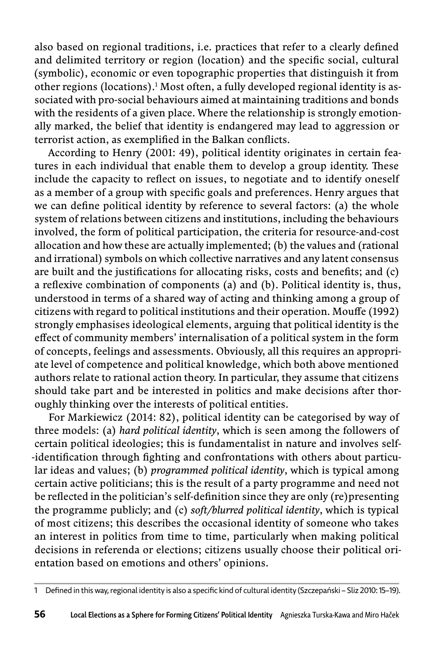also based on regional traditions, i.e. practices that refer to a clearly defined and delimited territory or region (location) and the specific social, cultural (symbolic), economic or even topographic properties that distinguish it from other regions (locations).1 Most often, a fully developed regional identity is associated with pro -social behaviours aimed at maintaining traditions and bonds with the residents of a given place. Where the relationship is strongly emotionally marked, the belief that identity is endangered may lead to aggression or terrorist action, as exemplified in the Balkan conflicts.

According to Henry (2001: 49), political identity originates in certain features in each individual that enable them to develop a group identity. These include the capacity to reflect on issues, to negotiate and to identify oneself as a member of a group with specific goals and preferences. Henry argues that we can define political identity by reference to several factors: (a) the whole system of relations between citizens and institutions, including the behaviours involved, the form of political participation, the criteria for resource -and -cost allocation and how these are actually implemented; (b) the values and (rational and irrational) symbols on which collective narratives and any latent consensus are built and the justifications for allocating risks, costs and benefits; and  $(c)$ a reflexive combination of components (a) and (b). Political identity is, thus, understood in terms of a shared way of acting and thinking among a group of citizens with regard to political institutions and their operation. Mouffe (1992) strongly emphasises ideological elements, arguing that political identity is the effect of community members' internalisation of a political system in the form of concepts, feelings and assessments. Obviously, all this requires an appropriate level of competence and political knowledge, which both above mentioned authors relate to rational action theory. In particular, they assume that citizens should take part and be interested in politics and make decisions after thoroughly thinking over the interests of political entities.

For Markiewicz (2014: 82), political identity can be categorised by way of three models: (a) *hard political identity*, which is seen among the followers of certain political ideologies; this is fundamentalist in nature and involves self- -identification through fighting and confrontations with others about particular ideas and values; (b) *programmed political identity*, which is typical among certain active politicians; this is the result of a party programme and need not be reflected in the politician's self-definition since they are only (re)presenting the programme publicly; and (c) *soft/blurred political identity*, which is typical of most citizens; this describes the occasional identity of someone who takes an interest in politics from time to time, particularly when making political decisions in referenda or elections; citizens usually choose their political orientation based on emotions and others' opinions.

<sup>1</sup> Defined in this way, regional identity is also a specific kind of cultural identity (Szczepański – Sliz 2010: 15-19).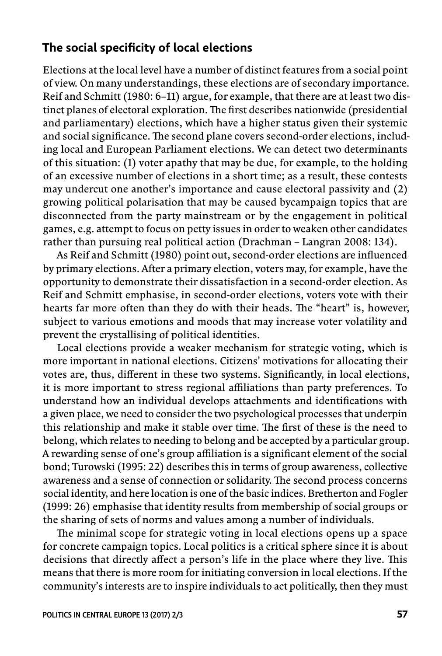### The social specificity of local elections

Elections at the local level have a number of distinct features from a social point of view. On many understandings, these elections are of secondary importance. Reif and Schmitt (1980: 6–11) argue, for example, that there are at least two distinct planes of electoral exploration. The first describes nationwide (presidential and parliamentary) elections, which have a higher status given their systemic and social significance. The second plane covers second-order elections, including local and European Parliament elections. We can detect two determinants of this situation: (1) voter apathy that may be due, for example, to the holding of an excessive number of elections in a short time; as a result, these contests may undercut one another's importance and cause electoral passivity and (2) growing political polarisation that may be caused bycampaign topics that are disconnected from the party mainstream or by the engagement in political games, e.g. attempt to focus on petty issues in order to weaken other candidates rather than pursuing real political action (Drachman – Langran 2008: 134).

As Reif and Schmitt (1980) point out, second-order elections are influenced by primary elections. After a primary election, voters may, for example, have the opportunity to demonstrate their dissatisfaction in a second -order election. As Reif and Schmitt emphasise, in second -order elections, voters vote with their hearts far more often than they do with their heads. The "heart" is, however, subject to various emotions and moods that may increase voter volatility and prevent the crystallising of political identities.

Local elections provide a weaker mechanism for strategic voting, which is more important in national elections. Citizens' motivations for allocating their votes are, thus, different in these two systems. Significantly, in local elections, it is more important to stress regional affiliations than party preferences. To understand how an individual develops attachments and identifications with a given place, we need to consider the two psychological processes that underpin this relationship and make it stable over time. The first of these is the need to belong, which relates to needing to belong and be accepted by a particular group. A rewarding sense of one's group affiliation is a significant element of the social bond; Turowski (1995: 22) describes this in terms of group awareness, collective awareness and a sense of connection or solidarity. The second process concerns social identity, and here location is one of the basic indices. Bretherton and Fogler (1999: 26) emphasise that identity results from membership of social groups or the sharing of sets of norms and values among a number of individuals.

The minimal scope for strategic voting in local elections opens up a space for concrete campaign topics. Local politics is a critical sphere since it is about decisions that directly affect a person's life in the place where they live. This means that there is more room for initiating conversion in local elections. If the community's interests are to inspire individuals to act politically, then they must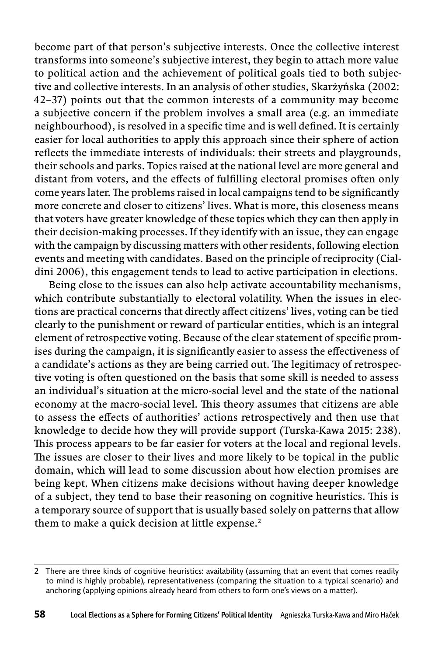become part of that person's subjective interests. Once the collective interest transforms into someone's subjective interest, they begin to attach more value to political action and the achievement of political goals tied to both subjective and collective interests. In an analysis of other studies, Skarżyńska (2002: 42–37) points out that the common interests of a community may become a subjective concern if the problem involves a small area (e.g. an immediate neighbourhood), is resolved in a specific time and is well defined. It is certainly easier for local authorities to apply this approach since their sphere of action reflects the immediate interests of individuals: their streets and playgrounds, their schools and parks. Topics raised at the national level are more general and distant from voters, and the effects of fulfilling electoral promises often only come years later. The problems raised in local campaigns tend to be significantly more concrete and closer to citizens' lives. What is more, this closeness means that voters have greater knowledge of these topics which they can then apply in their decision-making processes. If they identify with an issue, they can engage with the campaign by discussing matters with other residents, following election events and meeting with candidates. Based on the principle of reciprocity (Cialdini 2006), this engagement tends to lead to active participation in elections.

Being close to the issues can also help activate accountability mechanisms, which contribute substantially to electoral volatility. When the issues in elections are practical concerns that directly affect citizens' lives, voting can be tied clearly to the punishment or reward of particular entities, which is an integral element of retrospective voting. Because of the clear statement of specific promises during the campaign, it is significantly easier to assess the effectiveness of a candidate's actions as they are being carried out. The legitimacy of retrospective voting is often questioned on the basis that some skill is needed to assess an individual's situation at the micro -social level and the state of the national economy at the macro-social level. This theory assumes that citizens are able to assess the effects of authorities' actions retrospectively and then use that knowledge to decide how they will provide support (Turska -Kawa 2015: 238). This process appears to be far easier for voters at the local and regional levels. The issues are closer to their lives and more likely to be topical in the public domain, which will lead to some discussion about how election promises are being kept. When citizens make decisions without having deeper knowledge of a subject, they tend to base their reasoning on cognitive heuristics. This is a temporary source of support that is usually based solely on patterns that allow them to make a quick decision at little expense.<sup>2</sup>

<sup>2</sup> There are three kinds of cognitive heuristics: availability (assuming that an event that comes readily to mind is highly probable), representativeness (comparing the situation to a typical scenario) and anchoring (applying opinions already heard from others to form one's views on a matter).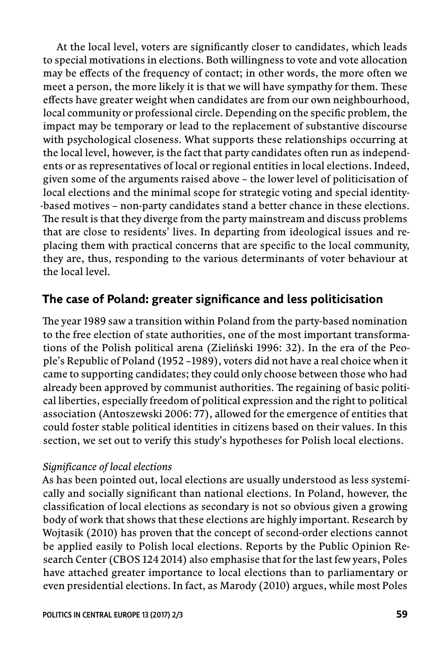At the local level, voters are significantly closer to candidates, which leads to special motivations in elections. Both willingness to vote and vote allocation may be effects of the frequency of contact; in other words, the more often we meet a person, the more likely it is that we will have sympathy for them. These effects have greater weight when candidates are from our own neighbourhood, local community or professional circle. Depending on the specific problem, the impact may be temporary or lead to the replacement of substantive discourse with psychological closeness. What supports these relationships occurring at the local level, however, is the fact that party candidates often run as independents or as representatives of local or regional entities in local elections. Indeed, given some of the arguments raised above – the lower level of politicisation of local elections and the minimal scope for strategic voting and special identity- -based motives – non -party candidates stand a better chance in these elections. The result is that they diverge from the party mainstream and discuss problems that are close to residents' lives. In departing from ideological issues and replacing them with practical concerns that are specific to the local community, they are, thus, responding to the various determinants of voter behaviour at the local level.

# The case of Poland: greater significance and less politicisation

The year 1989 saw a transition within Poland from the party-based nomination to the free election of state authorities, one of the most important transformations of the Polish political arena (Zieliński 1996: 32). In the era of the People's Republic of Poland (1952 –1989), voters did not have a real choice when it came to supporting candidates; they could only choose between those who had already been approved by communist authorities. The regaining of basic political liberties, especially freedom of political expression and the right to political association (Antoszewski 2006: 77), allowed for the emergence of entities that could foster stable political identities in citizens based on their values. In this section, we set out to verify this study's hypotheses for Polish local elections.

#### *Significance of local elections*

As has been pointed out, local elections are usually understood as less systemically and socially significant than national elections. In Poland, however, the classification of local elections as secondary is not so obvious given a growing body of work that shows that these elections are highly important. Research by Wojtasik (2010) has proven that the concept of second -order elections cannot be applied easily to Polish local elections. Reports by the Public Opinion Research Center (CBOS 124 2014) also emphasise that for the last few years, Poles have attached greater importance to local elections than to parliamentary or even presidential elections. In fact, as Marody (2010) argues, while most Poles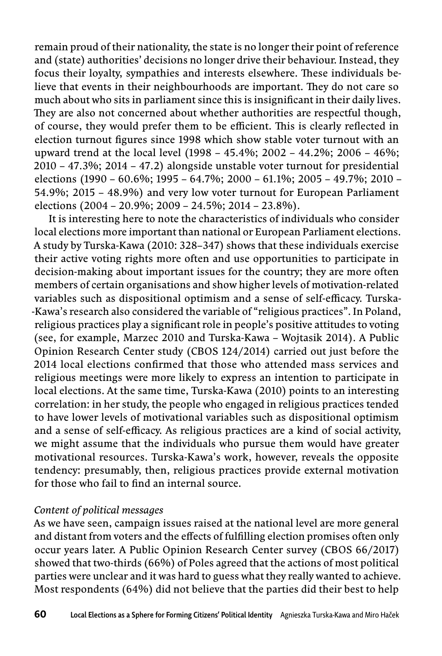remain proud of their nationality, the state is no longer their point of reference and (state) authorities' decisions no longer drive their behaviour. Instead, they focus their loyalty, sympathies and interests elsewhere. These individuals believe that events in their neighbourhoods are important. They do not care so much about who sits in parliament since this is insignificant in their daily lives. They are also not concerned about whether authorities are respectful though, of course, they would prefer them to be efficient. This is clearly reflected in election turnout figures since 1998 which show stable voter turnout with an upward trend at the local level (1998 – 45.4%; 2002 – 44.2%; 2006 – 46%; 2010 – 47.3%; 2014 – 47.2) alongside unstable voter turnout for presidential elections (1990 – 60.6%; 1995 – 64.7%; 2000 – 61.1%; 2005 – 49.7%; 2010 – 54.9%; 2015 – 48.9%) and very low voter turnout for European Parliament elections (2004 – 20.9%; 2009 – 24.5%; 2014 – 23.8%).

It is interesting here to note the characteristics of individuals who consider local elections more important than national or European Parliament elections. A study by Turska -Kawa (2010: 328–347) shows that these individuals exercise their active voting rights more often and use opportunities to participate in decision -making about important issues for the country; they are more often members of certain organisations and show higher levels of motivation -related variables such as dispositional optimism and a sense of self-efficacy. Turska--Kawa's research also considered the variable of "religious practices". In Poland, religious practices play a significant role in people's positive attitudes to voting (see, for example, Marzec 2010 and Turska -Kawa – Wojtasik 2014). A Public Opinion Research Center study (CBOS 124/2014) carried out just before the 2014 local elections confirmed that those who attended mass services and religious meetings were more likely to express an intention to participate in local elections. At the same time, Turska -Kawa (2010) points to an interesting correlation: in her study, the people who engaged in religious practices tended to have lower levels of motivational variables such as dispositional optimism and a sense of self-efficacy. As religious practices are a kind of social activity, we might assume that the individuals who pursue them would have greater motivational resources. Turska -Kawa's work, however, reveals the opposite tendency: presumably, then, religious practices provide external motivation for those who fail to find an internal source.

#### *Content of political messages*

As we have seen, campaign issues raised at the national level are more general and distant from voters and the effects of fulfilling election promises often only occur years later. A Public Opinion Research Center survey (CBOS 66/2017) showed that two -thirds (66%) of Poles agreed that the actions of most political parties were unclear and it was hard to guess what they really wanted to achieve. Most respondents (64%) did not believe that the parties did their best to help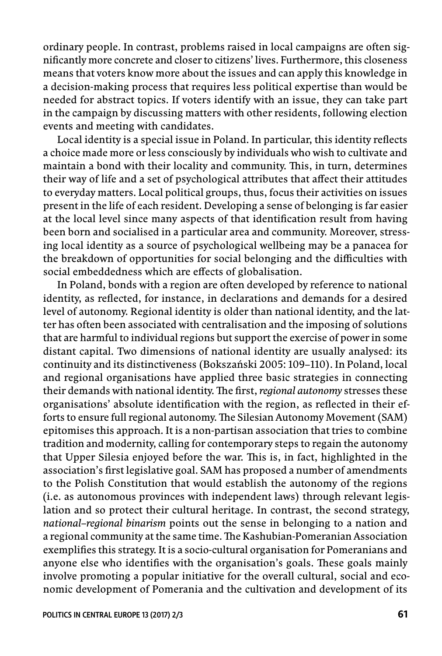ordinary people. In contrast, problems raised in local campaigns are often significantly more concrete and closer to citizens' lives. Furthermore, this closeness means that voters know more about the issues and can apply this knowledge in a decision-making process that requires less political expertise than would be needed for abstract topics. If voters identify with an issue, they can take part in the campaign by discussing matters with other residents, following election events and meeting with candidates.

Local identity is a special issue in Poland. In particular, this identity reflects a choice made more or less consciously by individuals who wish to cultivate and maintain a bond with their locality and community. This, in turn, determines their way of life and a set of psychological attributes that affect their attitudes to everyday matters. Local political groups, thus, focus their activities on issues present in the life of each resident. Developing a sense of belonging is far easier at the local level since many aspects of that identification result from having been born and socialised in a particular area and community. Moreover, stressing local identity as a source of psychological wellbeing may be a panacea for the breakdown of opportunities for social belonging and the difficulties with social embeddedness which are effects of globalisation.

In Poland, bonds with a region are often developed by reference to national identity, as reflected, for instance, in declarations and demands for a desired level of autonomy. Regional identity is older than national identity, and the latter has often been associated with centralisation and the imposing of solutions that are harmful to individual regions but support the exercise of power in some distant capital. Two dimensions of national identity are usually analysed: its continuity and its distinctiveness (Bokszański 2005: 109–110). In Poland, local and regional organisations have applied three basic strategies in connecting their demands with national identity. The first, *regional autonomy* stresses these organisations' absolute identification with the region, as reflected in their efforts to ensure full regional autonomy. The Silesian Autonomy Movement (SAM) epitomises this approach. It is a non -partisan association that tries to combine tradition and modernity, calling for contemporary steps to regain the autonomy that Upper Silesia enjoyed before the war. This is, in fact, highlighted in the association's first legislative goal. SAM has proposed a number of amendments to the Polish Constitution that would establish the autonomy of the regions (i.e. as autonomous provinces with independent laws) through relevant legislation and so protect their cultural heritage. In contrast, the second strategy, *national–regional binarism* points out the sense in belonging to a nation and a regional community at the same time. The Kashubian-Pomeranian Association exemplifies this strategy. It is a socio-cultural organisation for Pomeranians and anyone else who identifies with the organisation's goals. These goals mainly involve promoting a popular initiative for the overall cultural, social and economic development of Pomerania and the cultivation and development of its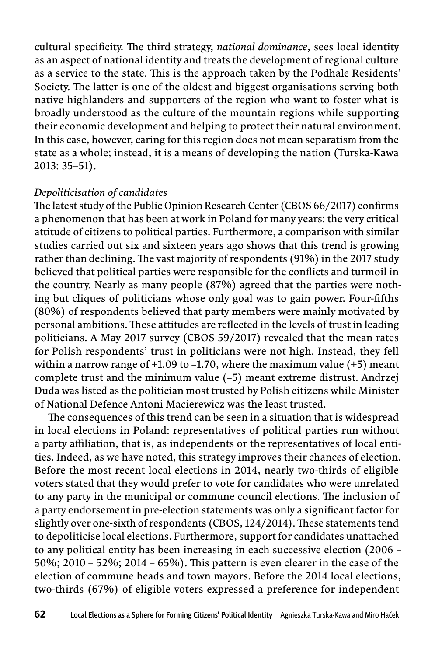cultural specificity. The third strategy, *national dominance*, sees local identity as an aspect of national identity and treats the development of regional culture as a service to the state. This is the approach taken by the Podhale Residents' Society. The latter is one of the oldest and biggest organisations serving both native highlanders and supporters of the region who want to foster what is broadly understood as the culture of the mountain regions while supporting their economic development and helping to protect their natural environment. In this case, however, caring for this region does not mean separatism from the state as a whole; instead, it is a means of developing the nation (Turska -Kawa 2013: 35–51).

#### *Depoliticisation of candidates*

The latest study of the Public Opinion Research Center (CBOS 66/2017) confirms a phenomenon that has been at work in Poland for many years: the very critical attitude of citizens to political parties. Furthermore, a comparison with similar studies carried out six and sixteen years ago shows that this trend is growing rather than declining. The vast majority of respondents  $(91%)$  in the 2017 study believed that political parties were responsible for the conflicts and turmoil in the country. Nearly as many people (87%) agreed that the parties were nothing but cliques of politicians whose only goal was to gain power. Four-fifths (80%) of respondents believed that party members were mainly motivated by personal ambitions. These attitudes are reflected in the levels of trust in leading politicians. A May 2017 survey (CBOS 59/2017) revealed that the mean rates for Polish respondents' trust in politicians were not high. Instead, they fell within a narrow range of  $+1.09$  to  $-1.70$ , where the maximum value  $(+5)$  meant complete trust and the minimum value (–5) meant extreme distrust. Andrzej Duda was listed as the politician most trusted by Polish citizens while Minister of National Defence Antoni Macierewicz was the least trusted.

The consequences of this trend can be seen in a situation that is widespread in local elections in Poland: representatives of political parties run without a party affiliation, that is, as independents or the representatives of local entities. Indeed, as we have noted, this strategy improves their chances of election. Before the most recent local elections in 2014, nearly two -thirds of eligible voters stated that they would prefer to vote for candidates who were unrelated to any party in the municipal or commune council elections. The inclusion of a party endorsement in pre-election statements was only a significant factor for slightly over one-sixth of respondents (CBOS, 124/2014). These statements tend to depoliticise local elections. Furthermore, support for candidates unattached to any political entity has been increasing in each successive election (2006 – 50%; 2010 – 52%; 2014 – 65%). This pattern is even clearer in the case of the election of commune heads and town mayors. Before the 2014 local elections, two -thirds (67%) of eligible voters expressed a preference for independent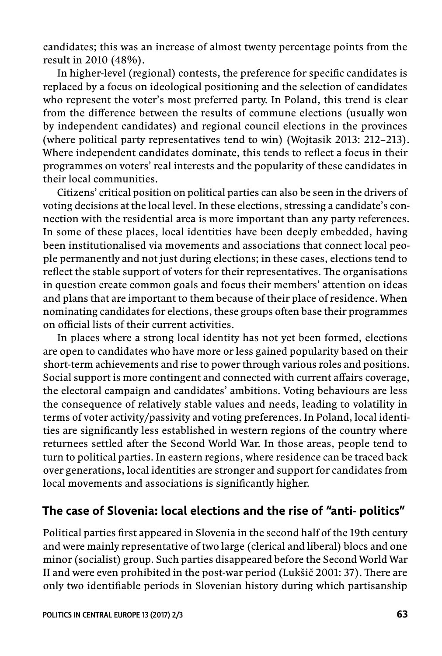candidates; this was an increase of almost twenty percentage points from the result in 2010 (48%).

In higher-level (regional) contests, the preference for specific candidates is replaced by a focus on ideological positioning and the selection of candidates who represent the voter's most preferred party. In Poland, this trend is clear from the difference between the results of commune elections (usually won by independent candidates) and regional council elections in the provinces (where political party representatives tend to win) (Wojtasik 2013: 212–213). Where independent candidates dominate, this tends to reflect a focus in their programmes on voters' real interests and the popularity of these candidates in their local communities.

Citizens' critical position on political parties can also be seen in the drivers of voting decisions at the local level. In these elections, stressing a candidate's connection with the residential area is more important than any party references. In some of these places, local identities have been deeply embedded, having been institutionalised via movements and associations that connect local people permanently and not just during elections; in these cases, elections tend to reflect the stable support of voters for their representatives. The organisations in question create common goals and focus their members' attention on ideas and plans that are important to them because of their place of residence. When nominating candidates for elections, these groups often base their programmes on official lists of their current activities.

In places where a strong local identity has not yet been formed, elections are open to candidates who have more or less gained popularity based on their short -term achievements and rise to power through various roles and positions. Social support is more contingent and connected with current affairs coverage, the electoral campaign and candidates' ambitions. Voting behaviours are less the consequence of relatively stable values and needs, leading to volatility in terms of voter activity/passivity and voting preferences. In Poland, local identities are significantly less established in western regions of the country where returnees settled after the Second World War. In those areas, people tend to turn to political parties. In eastern regions, where residence can be traced back over generations, local identities are stronger and support for candidates from local movements and associations is significantly higher.

## **The case of Slovenia: local elections and the rise of "anti- politics"**

Political parties first appeared in Slovenia in the second half of the 19th century and were mainly representative of two large (clerical and liberal) blocs and one minor (socialist) group. Such parties disappeared before the Second World War II and were even prohibited in the post-war period (Lukšič 2001: 37). There are only two identifiable periods in Slovenian history during which partisanship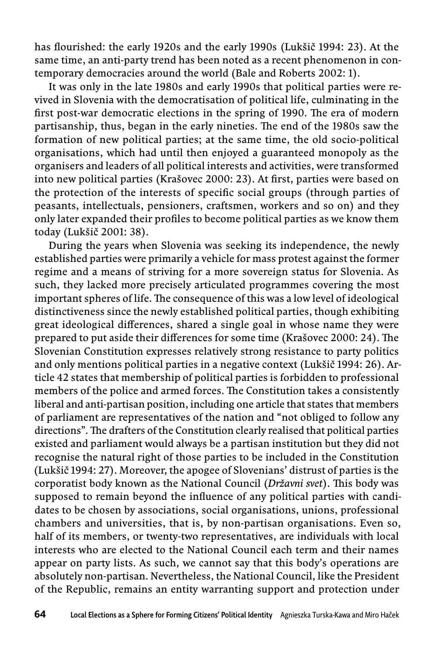has flourished: the early 1920s and the early 1990s (Lukšič 1994: 23). At the same time, an anti-party trend has been noted as a recent phenomenon in contemporary democracies around the world (Bale and Roberts 2002: 1).

It was only in the late 1980s and early 1990s that political parties were revived in Slovenia with the democratisation of political life, culminating in the first post-war democratic elections in the spring of 1990. The era of modern partisanship, thus, began in the early nineties. The end of the 1980s saw the formation of new political parties; at the same time, the old socio -political organisations, which had until then enjoyed a guaranteed monopoly as the organisers and leaders of all political interests and activities, were transformed into new political parties (Krašovec 2000: 23). At first, parties were based on the protection of the interests of specific social groups (through parties of peasants, intellectuals, pensioners, craftsmen, workers and so on) and they only later expanded their profiles to become political parties as we know them today (Lukšič 2001: 38).

During the years when Slovenia was seeking its independence, the newly established parties were primarily a vehicle for mass protest against the former regime and a means of striving for a more sovereign status for Slovenia. As such, they lacked more precisely articulated programmes covering the most important spheres of life. The consequence of this was a low level of ideological distinctiveness since the newly established political parties, though exhibiting great ideological differences, shared a single goal in whose name they were prepared to put aside their differences for some time (Krašovec 2000: 24). The Slovenian Constitution expresses relatively strong resistance to party politics and only mentions political parties in a negative context (Lukšič 1994: 26). Article 42 states that membership of political parties is forbidden to professional members of the police and armed forces. The Constitution takes a consistently liberal and anti -partisan position, including one article that states that members of parliament are representatives of the nation and "not obliged to follow any directions". The drafters of the Constitution clearly realised that political parties existed and parliament would always be a partisan institution but they did not recognise the natural right of those parties to be included in the Constitution (Lukšič 1994: 27). Moreover, the apogee of Slovenians' distrust of parties is the corporatist body known as the National Council (*Državni svet*). This body was supposed to remain beyond the influence of any political parties with candidates to be chosen by associations, social organisations, unions, professional chambers and universities, that is, by non -partisan organisations. Even so, half of its members, or twenty -two representatives, are individuals with local interests who are elected to the National Council each term and their names appear on party lists. As such, we cannot say that this body's operations are absolutely non -partisan. Nevertheless, the National Council, like the President of the Republic, remains an entity warranting support and protection under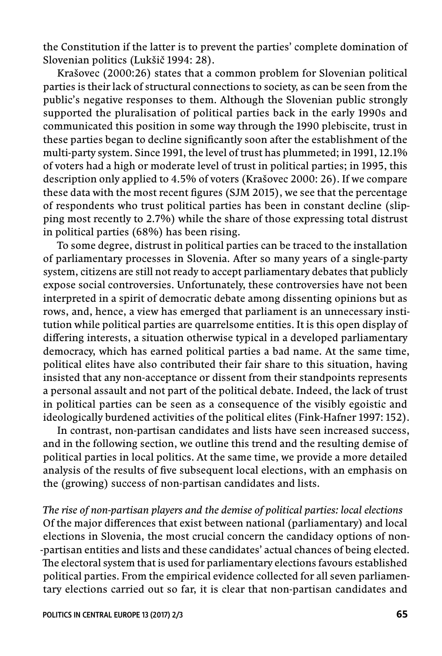the Constitution if the latter is to prevent the parties' complete domination of Slovenian politics (Lukšič 1994: 28).

Krašovec (2000:26) states that a common problem for Slovenian political parties is their lack of structural connections to society, as can be seen from the public's negative responses to them. Although the Slovenian public strongly supported the pluralisation of political parties back in the early 1990s and communicated this position in some way through the 1990 plebiscite, trust in these parties began to decline significantly soon after the establishment of the multi-party system. Since 1991, the level of trust has plummeted; in 1991, 12.1% of voters had a high or moderate level of trust in political parties; in 1995, this description only applied to 4.5% of voters (Krašovec 2000: 26). If we compare these data with the most recent figures (SJM 2015), we see that the percentage of respondents who trust political parties has been in constant decline (slipping most recently to 2.7%) while the share of those expressing total distrust in political parties (68%) has been rising.

To some degree, distrust in political parties can be traced to the installation of parliamentary processes in Slovenia. After so many years of a single -party system, citizens are still not ready to accept parliamentary debates that publicly expose social controversies. Unfortunately, these controversies have not been interpreted in a spirit of democratic debate among dissenting opinions but as rows, and, hence, a view has emerged that parliament is an unnecessary institution while political parties are quarrelsome entities. It is this open display of differing interests, a situation otherwise typical in a developed parliamentary democracy, which has earned political parties a bad name. At the same time, political elites have also contributed their fair share to this situation, having insisted that any non -acceptance or dissent from their standpoints represents a personal assault and not part of the political debate. Indeed, the lack of trust in political parties can be seen as a consequence of the visibly egoistic and ideologically burdened activities of the political elites (Fink -Hafner 1997: 152).

In contrast, non -partisan candidates and lists have seen increased success, and in the following section, we outline this trend and the resulting demise of political parties in local politics. At the same time, we provide a more detailed analysis of the results of five subsequent local elections, with an emphasis on the (growing) success of non -partisan candidates and lists.

*The rise of non -partisan players and the demise of political parties: local elections* Of the major differences that exist between national (parliamentary) and local elections in Slovenia, the most crucial concern the candidacy options of non- -partisan entities and lists and these candidates' actual chances of being elected. The electoral system that is used for parliamentary elections favours established political parties. From the empirical evidence collected for all seven parliamentary elections carried out so far, it is clear that non -partisan candidates and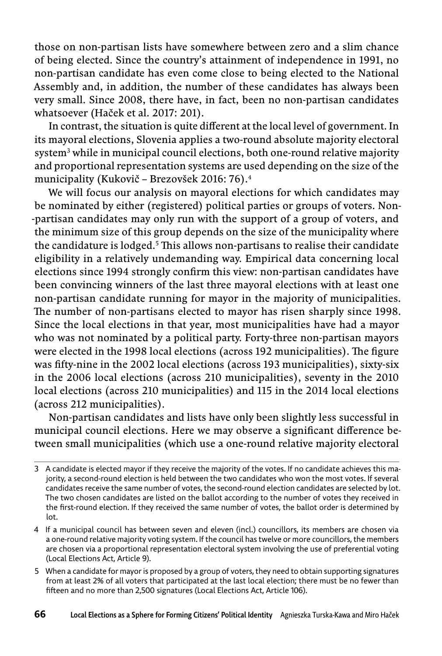those on non-partisan lists have somewhere between zero and a slim chance of being elected. Since the country's attainment of independence in 1991, no non -partisan candidate has even come close to being elected to the National Assembly and, in addition, the number of these candidates has always been very small. Since 2008, there have, in fact, been no non -partisan candidates whatsoever (Haček et al. 2017: 201).

In contrast, the situation is quite different at the local level of government. In its mayoral elections, Slovenia applies a two -round absolute majority electoral system<sup>3</sup> while in municipal council elections, both one-round relative majority and proportional representation systems are used depending on the size of the municipality (Kukovič – Brezovšek 2016: 76).4

We will focus our analysis on mayoral elections for which candidates may be nominated by either (registered) political parties or groups of voters. Non- -partisan candidates may only run with the support of a group of voters, and the minimum size of this group depends on the size of the municipality where the candidature is lodged.<sup>5</sup> This allows non-partisans to realise their candidate eligibility in a relatively undemanding way. Empirical data concerning local elections since 1994 strongly confirm this view: non-partisan candidates have been convincing winners of the last three mayoral elections with at least one non -partisan candidate running for mayor in the majority of municipalities. The number of non-partisans elected to mayor has risen sharply since 1998. Since the local elections in that year, most municipalities have had a mayor who was not nominated by a political party. Forty -three non -partisan mayors were elected in the 1998 local elections (across 192 municipalities). The figure was fifty-nine in the 2002 local elections (across 193 municipalities), sixty-six in the 2006 local elections (across 210 municipalities), seventy in the 2010 local elections (across 210 municipalities) and 115 in the 2014 local elections (across 212 municipalities).

Non -partisan candidates and lists have only been slightly less successful in municipal council elections. Here we may observe a significant difference between small municipalities (which use a one -round relative majority electoral

<sup>3</sup> A candidate is elected mayor if they receive the majority of the votes. If no candidate achieves this majority, a second-round election is held between the two candidates who won the most votes. If several candidates receive the same number of votes, the second -round election candidates are selected by lot. The two chosen candidates are listed on the ballot according to the number of votes they received in the first-round election. If they received the same number of votes, the ballot order is determined by lot.

<sup>4</sup> If a municipal council has between seven and eleven (incl.) councillors, its members are chosen via a one -round relative majority voting system. If the council has twelve or more councillors, the members are chosen via a proportional representation electoral system involving the use of preferential voting (Local Elections Act, Article 9).

<sup>5</sup> When a candidate for mayor is proposed by a group of voters, they need to obtain supporting signatures from at least 2% of all voters that participated at the last local election; there must be no fewer than fifteen and no more than 2,500 signatures (Local Elections Act, Article 106).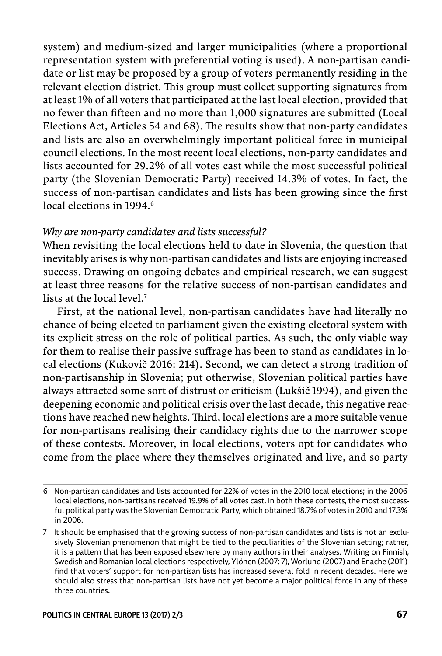system) and medium -sized and larger municipalities (where a proportional representation system with preferential voting is used). A non -partisan candidate or list may be proposed by a group of voters permanently residing in the relevant election district. This group must collect supporting signatures from at least 1% of all voters that participated at the last local election, provided that no fewer than fifteen and no more than 1,000 signatures are submitted (Local Elections Act, Articles 54 and 68). The results show that non-party candidates and lists are also an overwhelmingly important political force in municipal council elections. In the most recent local elections, non -party candidates and lists accounted for 29.2% of all votes cast while the most successful political party (the Slovenian Democratic Party) received 14.3% of votes. In fact, the success of non-partisan candidates and lists has been growing since the first local elections in 1994<sup>6</sup>

#### *Why are non -party candidates and lists successful?*

When revisiting the local elections held to date in Slovenia, the question that inevitably arises is why non -partisan candidates and lists are enjoying increased success. Drawing on ongoing debates and empirical research, we can suggest at least three reasons for the relative success of non -partisan candidates and lists at the local level.7

First, at the national level, non-partisan candidates have had literally no chance of being elected to parliament given the existing electoral system with its explicit stress on the role of political parties. As such, the only viable way for them to realise their passive suffrage has been to stand as candidates in local elections (Kukovič 2016: 214). Second, we can detect a strong tradition of non -partisanship in Slovenia; put otherwise, Slovenian political parties have always attracted some sort of distrust or criticism (Lukšič 1994), and given the deepening economic and political crisis over the last decade, this negative reactions have reached new heights. Third, local elections are a more suitable venue for non -partisans realising their candidacy rights due to the narrower scope of these contests. Moreover, in local elections, voters opt for candidates who come from the place where they themselves originated and live, and so party

<sup>6</sup> Non -partisan candidates and lists accounted for 22% of votes in the 2010 local elections; in the 2006 local elections, non -partisans received 19.9% of all votes cast. In both these contests, the most successful political party was the Slovenian Democratic Party, which obtained 18.7% of votes in 2010 and 17.3% in 2006.

<sup>7</sup> It should be emphasised that the growing success of non -partisan candidates and lists is not an exclusively Slovenian phenomenon that might be tied to the peculiarities of the Slovenian setting; rather, it is a pattern that has been exposed elsewhere by many authors in their analyses. Writing on Finnish, Swedish and Romanian local elections respectively, Ylönen (2007: 7), Worlund (2007) and Enache (2011) find that voters' support for non-partisan lists has increased several fold in recent decades. Here we should also stress that non-partisan lists have not yet become a major political force in any of these three countries.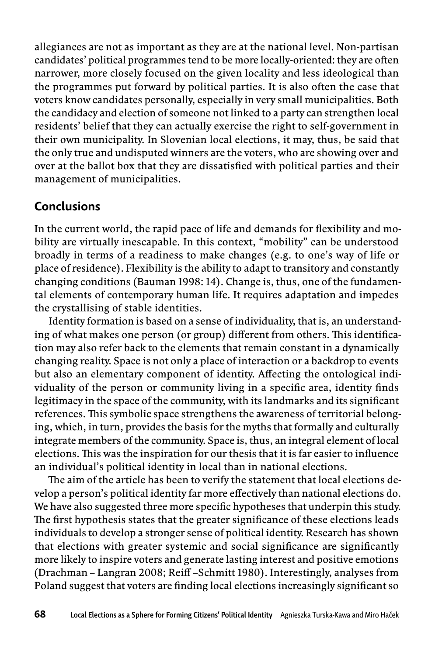allegiances are not as important as they are at the national level. Non -partisan candidates' political programmes tend to be more locally -oriented: they are often narrower, more closely focused on the given locality and less ideological than the programmes put forward by political parties. It is also often the case that voters know candidates personally, especially in very small municipalities. Both the candidacy and election of someone not linked to a party can strengthen local residents' belief that they can actually exercise the right to self-government in their own municipality. In Slovenian local elections, it may, thus, be said that the only true and undisputed winners are the voters, who are showing over and over at the ballot box that they are dissatisfied with political parties and their management of municipalities.

# **Conclusions**

In the current world, the rapid pace of life and demands for flexibility and mobility are virtually inescapable. In this context, "mobility" can be understood broadly in terms of a readiness to make changes (e.g. to one's way of life or place of residence). Flexibility is the ability to adapt to transitory and constantly changing conditions (Bauman 1998: 14). Change is, thus, one of the fundamental elements of contemporary human life. It requires adaptation and impedes the crystallising of stable identities.

Identity formation is based on a sense of individuality, that is, an understanding of what makes one person (or group) different from others. This identification may also refer back to the elements that remain constant in a dynamically changing reality. Space is not only a place of interaction or a backdrop to events but also an elementary component of identity. Affecting the ontological individuality of the person or community living in a specific area, identity finds legitimacy in the space of the community, with its landmarks and its significant references. This symbolic space strengthens the awareness of territorial belonging, which, in turn, provides the basis for the myths that formally and culturally integrate members of the community. Space is, thus, an integral element of local elections. This was the inspiration for our thesis that it is far easier to influence an individual's political identity in local than in national elections.

The aim of the article has been to verify the statement that local elections develop a person's political identity far more effectively than national elections do. We have also suggested three more specific hypotheses that underpin this study. The first hypothesis states that the greater significance of these elections leads individuals to develop a stronger sense of political identity. Research has shown that elections with greater systemic and social significance are significantly more likely to inspire voters and generate lasting interest and positive emotions (Drachman – Langran 2008; Reiff –Schmitt 1980). Interestingly, analyses from Poland suggest that voters are finding local elections increasingly significant so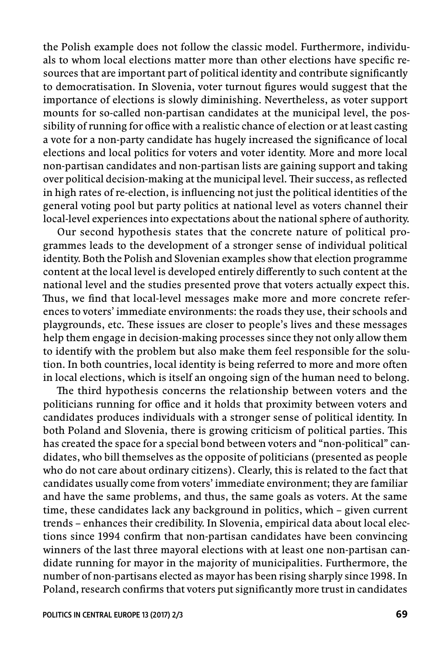the Polish example does not follow the classic model. Furthermore, individuals to whom local elections matter more than other elections have specific resources that are important part of political identity and contribute significantly to democratisation. In Slovenia, voter turnout figures would suggest that the importance of elections is slowly diminishing. Nevertheless, as voter support mounts for so -called non -partisan candidates at the municipal level, the possibility of running for office with a realistic chance of election or at least casting a vote for a non-party candidate has hugely increased the significance of local elections and local politics for voters and voter identity. More and more local non -partisan candidates and non -partisan lists are gaining support and taking over political decision-making at the municipal level. Their success, as reflected in high rates of re-election, is influencing not just the political identities of the general voting pool but party politics at national level as voters channel their local -level experiences into expectations about the national sphere of authority.

Our second hypothesis states that the concrete nature of political programmes leads to the development of a stronger sense of individual political identity. Both the Polish and Slovenian examples show that election programme content at the local level is developed entirely differently to such content at the national level and the studies presented prove that voters actually expect this. Thus, we find that local-level messages make more and more concrete references to voters' immediate environments: the roads they use, their schools and playgrounds, etc. These issues are closer to people's lives and these messages help them engage in decision -making processes since they not only allow them to identify with the problem but also make them feel responsible for the solution. In both countries, local identity is being referred to more and more often in local elections, which is itself an ongoing sign of the human need to belong.

The third hypothesis concerns the relationship between voters and the politicians running for office and it holds that proximity between voters and candidates produces individuals with a stronger sense of political identity. In both Poland and Slovenia, there is growing criticism of political parties. This has created the space for a special bond between voters and "non-political" candidates, who bill themselves as the opposite of politicians (presented as people who do not care about ordinary citizens). Clearly, this is related to the fact that candidates usually come from voters' immediate environment; they are familiar and have the same problems, and thus, the same goals as voters. At the same time, these candidates lack any background in politics, which – given current trends – enhances their credibility. In Slovenia, empirical data about local elections since 1994 confirm that non-partisan candidates have been convincing winners of the last three mayoral elections with at least one non -partisan candidate running for mayor in the majority of municipalities. Furthermore, the number of non -partisans elected as mayor has been rising sharply since 1998. In Poland, research confirms that voters put significantly more trust in candidates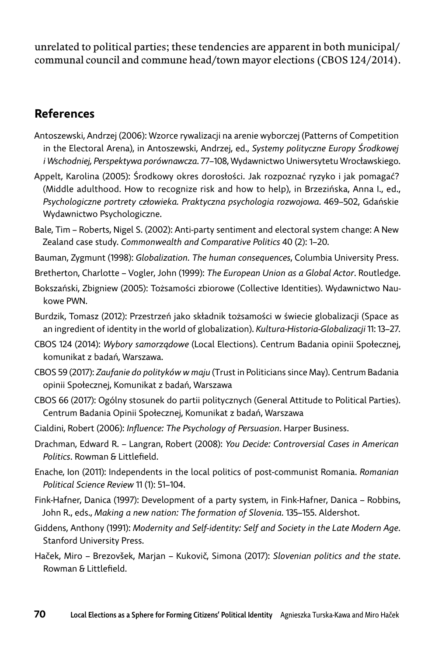unrelated to political parties; these tendencies are apparent in both municipal/ communal council and commune head/town mayor elections (CBOS 124/2014).

# **References**

- Antoszewski, Andrzej (2006): Wzorce rywalizacji na arenie wyborczej (Patterns of Competition in the Electoral Arena), in Antoszewski, Andrzej, ed., *Systemy polityczne Europy Środkowej i Wschodniej, Perspektywa porównawcza*. 77–108, Wydawnictwo Uniwersytetu Wrocławskiego.
- Appelt, Karolina (2005): Środkowy okres dorosłości. Jak rozpoznać ryzyko i jak pomagać? (Middle adulthood. How to recognize risk and how to help), in Brzezińska, Anna I., ed., *Psychologiczne portrety człowieka. Praktyczna psychologia rozwojowa*. 469–502, Gdańskie Wydawnictwo Psychologiczne.
- Bale, Tim Roberts, Nigel S. (2002): Anti -party sentiment and electoral system change: A New Zealand case study. *Commonwealth and Comparative Politics* 40 (2): 1–20.
- Bauman, Zygmunt (1998): *Globalization. The human consequences*, Columbia University Press.
- Bretherton, Charlotte Vogler, John (1999): *The European Union as a Global Actor*. Routledge.
- Bokszański, Zbigniew (2005): Tożsamości zbiorowe (Collective Identities). Wydawnictwo Naukowe PWN.
- Burdzik, Tomasz (2012): Przestrzeń jako składnik tożsamości w świecie globalizacji (Space as an ingredient of identity in the world of globalization). *Kultura -Historia -Globalizacji* 11: 13–27.
- CBOS 124 (2014): *Wybory samorządowe* (Local Elections). Centrum Badania opinii Społecznej, komunikat z badań, Warszawa.
- CBOS 59 (2017): *Zaufanie do polityków w maju* (Trust in Politicians since May). Centrum Badania opinii Społecznej, Komunikat z badań, Warszawa
- CBOS 66 (2017): Ogólny stosunek do partii politycznych (General Attitude to Political Parties). Centrum Badania Opinii Społecznej, Komunikat z badań, Warszawa
- Cialdini, Robert (2006): *Infl uence: The Psychology of Persuasion*. Harper Business.
- Drachman, Edward R. Langran, Robert (2008): *You Decide: Controversial Cases in American*  Politics. Rowman & Littlefield.
- Enache, Ion (2011): Independents in the local politics of post -communist Romania. *Romanian Political Science Review* 11 (1): 51–104.
- Fink -Hafner, Danica (1997): Development of a party system, in Fink -Hafner, Danica Robbins, John R., eds., *Making a new nation: The formation of Slovenia*. 135–155. Aldershot.
- Giddens, Anthony (1991): *Modernity and Self -identity: Self and Society in the Late Modern Age*. Stanford University Press.
- Haček, Miro Brezovšek, Marjan Kukovič, Simona (2017): *Slovenian politics and the state*. Rowman & Littlefield.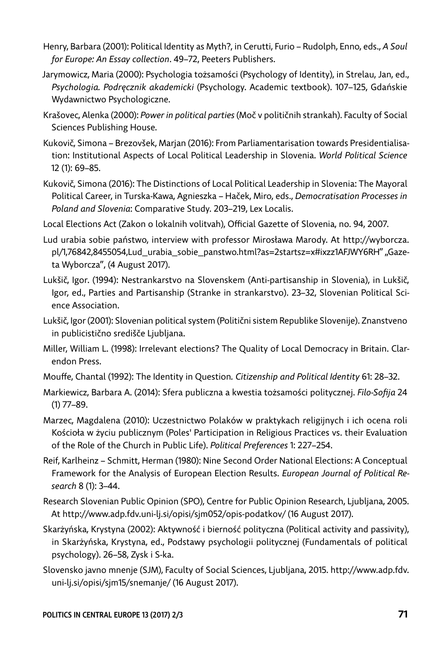- Henry, Barbara (2001): Political Identity as Myth?, in Cerutti, Furio Rudolph, Enno, eds., *A Soul for Europe: An Essay collection*. 49–72, Peeters Publishers.
- Jarymowicz, Maria (2000): Psychologia tożsamości (Psychology of Identity), in Strelau, Jan, ed., *Psychologia. Podręcznik akademicki* (Psychology. Academic textbook). 107–125, Gdańskie Wydawnictwo Psychologiczne.
- Krašovec, Alenka (2000): *Power in political parties* (Moč v političnih strankah). Faculty of Social Sciences Publishing House.
- Kukovič, Simona Brezovšek, Marjan (2016): From Parliamentarisation towards Presidentialisation: Institutional Aspects of Local Political Leadership in Slovenia. *World Political Science* 12 (1): 69–85.
- Kukovič, Simona (2016): The Distinctions of Local Political Leadership in Slovenia: The Mayoral Political Career, in Turska -Kawa, Agnieszka – Haček, Miro, eds., *Democratisation Processes in Poland and Slovenia*: Comparative Study. 203–219, Lex Localis.
- Local Elections Act (Zakon o lokalnih volitvah), Official Gazette of Slovenia, no. 94, 2007.
- Lud urabia sobie państwo, interview with professor Mirosława Marody. At http://wyborcza. pl/1,76842,8455054,Lud\_urabia\_sobie\_panstwo.html?as=2startsz=x#ixzz1AFJWY6RH" "Gazeta Wyborcza", (4 August 2017).
- Lukšič, Igor. (1994): Nestrankarstvo na Slovenskem (Anti -partisanship in Slovenia), in Lukšič, Igor, ed., Parties and Partisanship (Stranke in strankarstvo). 23–32, Slovenian Political Science Association.
- Lukšič, Igor (2001): Slovenian political system (Politični sistem Republike Slovenije). Znanstveno in publicistično središče Ljubljana.
- Miller, William L. (1998): Irrelevant elections? The Quality of Local Democracy in Britain. Clarendon Press.
- Mouff e, Chantal (1992): The Identity in Question*. Citizenship and Political Identity* 61: 28–32.
- Markiewicz, Barbara A. (2014): Sfera publiczna a kwestia tożsamości politycznej. *Filo -Sofi ja* 24 (1) 77–89.
- Marzec, Magdalena (2010): Uczestnictwo Polaków w praktykach religijnych i ich ocena roli Kościoła w życiu publicznym (Poles' Participation in Religious Practices vs. their Evaluation of the Role of the Church in Public Life). *Political Preferences* 1: 227–254.
- Reif, Karlheinz Schmitt, Herman (1980): Nine Second Order National Elections: A Conceptual Framework for the Analysis of European Election Results. *European Journal of Political Research* 8 (1): 3–44.
- Research Slovenian Public Opinion (SPO), Centre for Public Opinion Research, Ljubljana, 2005. At http://www.adp.fdv.uni -lj.si/opisi/sjm052/opis -podatkov/ (16 August 2017).
- Skarżyńska, Krystyna (2002): Aktywność i bierność polityczna (Political activity and passivity), in Skarżyńska, Krystyna, ed., Podstawy psychologii politycznej (Fundamentals of political psychology). 26–58, Zysk i S -ka.
- Slovensko javno mnenje (SJM), Faculty of Social Sciences, Ljubljana, 2015. http://www.adp.fdv. uni-lj.si/opisi/sjm15/snemanje/ (16 August 2017).